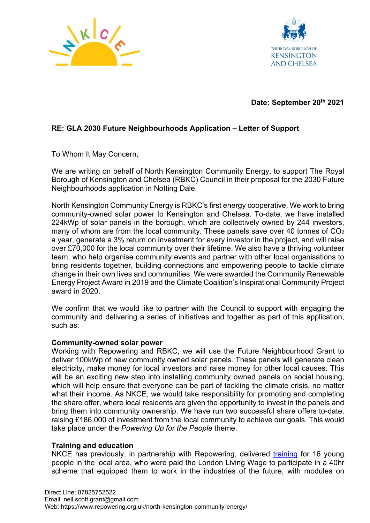



# **Date: September 20th 2021**

# **RE: GLA 2030 Future Neighbourhoods Application – Letter of Support**

To Whom It May Concern,

We are writing on behalf of North Kensington Community Energy, to support The Royal Borough of Kensington and Chelsea (RBKC) Council in their proposal for the 2030 Future Neighbourhoods application in Notting Dale.

North Kensington Community Energy is RBKC's first energy cooperative. We work to bring community-owned solar power to Kensington and Chelsea. To-date, we have installed 224kWp of solar panels in the borough, which are collectively owned by 244 investors, many of whom are from the local community. These panels save over 40 tonnes of  $CO<sub>2</sub>$ a year, generate a 3% return on investment for every investor in the project, and will raise over £70,000 for the local community over their lifetime. We also have a thriving volunteer team, who help organise community events and partner with other local organisations to bring residents together, building connections and empowering people to tackle climate change in their own lives and communities. We were awarded the Community Renewable Energy Project Award in 2019 and the Climate Coalition's Inspirational Community Project award in 2020.

We confirm that we would like to partner with the Council to support with engaging the community and delivering a series of initiatives and together as part of this application, such as:

#### **Community-owned solar power**

Working with Repowering and RBKC, we will use the Future Neighbourhood Grant to deliver 100kWp of new community owned solar panels. These panels will generate clean electricity, make money for local investors and raise money for other local causes. This will be an exciting new step into installing community owned panels on social housing, which will help ensure that everyone can be part of tackling the climate crisis, no matter what their income. As NKCE, we would take responsibility for promoting and completing the share offer, where local residents are given the opportunity to invest in the panels and bring them into community ownership. We have run two successful share offers to-date, raising £186,000 of investment from the local community to achieve our goals. This would take place under the *Powering Up for the People* theme.

#### **Training and education**

NKCE has previously, in partnership with Repowering, delivered [training](https://www.youtube.com/watch?v=Nzqg-WZcc6Q&feature=emb_title&ab_channel=RepoweringLondon) for 16 young people in the local area, who were paid the London Living Wage to participate in a 40hr scheme that equipped them to work in the industries of the future, with modules on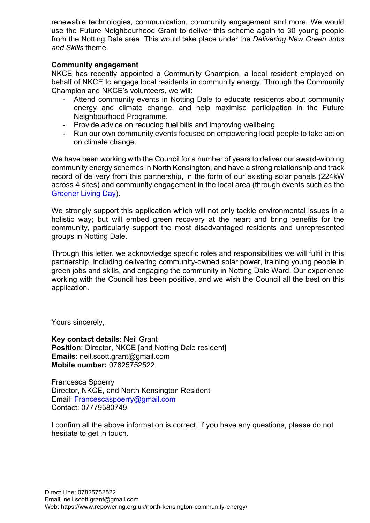renewable technologies, communication, community engagement and more. We would use the Future Neighbourhood Grant to deliver this scheme again to 30 young people from the Notting Dale area. This would take place under the *Delivering New Green Jobs and Skills* theme.

### **Community engagement**

NKCE has recently appointed a Community Champion, a local resident employed on behalf of NKCE to engage local residents in community energy. Through the Community Champion and NKCE's volunteers, we will:

- Attend community events in Notting Dale to educate residents about community energy and climate change, and help maximise participation in the Future Neighbourhood Programme.
- Provide advice on reducing fuel bills and improving wellbeing
- Run our own community events focused on empowering local people to take action on climate change.

We have been working with the Council for a number of years to deliver our award-winning community energy schemes in North Kensington, and have a strong relationship and track record of delivery from this partnership, in the form of our existing solar panels (224kW across 4 sites) and community engagement in the local area (through events such as the [Greener Living Day\)](https://www.youtube.com/watch?v=OEUks5wSl34&t=2s&ab_channel=RepoweringLondon).

We strongly support this application which will not only tackle environmental issues in a holistic way; but will embed green recovery at the heart and bring benefits for the community, particularly support the most disadvantaged residents and unrepresented groups in Notting Dale.

Through this letter, we acknowledge specific roles and responsibilities we will fulfil in this partnership, including delivering community-owned solar power, training young people in green jobs and skills, and engaging the community in Notting Dale Ward. Our experience working with the Council has been positive, and we wish the Council all the best on this application.

Yours sincerely,

**Key contact details:** Neil Grant **Position: Director, NKCE [and Notting Dale resident] Emails**: neil.scott.grant@gmail.com **Mobile number:** 07825752522

Francesca Spoerry Director, NKCE, and North Kensington Resident Email: [Francescaspoerry@gmail.com](mailto:Francescaspoerry@gmail.com) Contact: 07779580749

I confirm all the above information is correct. If you have any questions, please do not hesitate to get in touch.